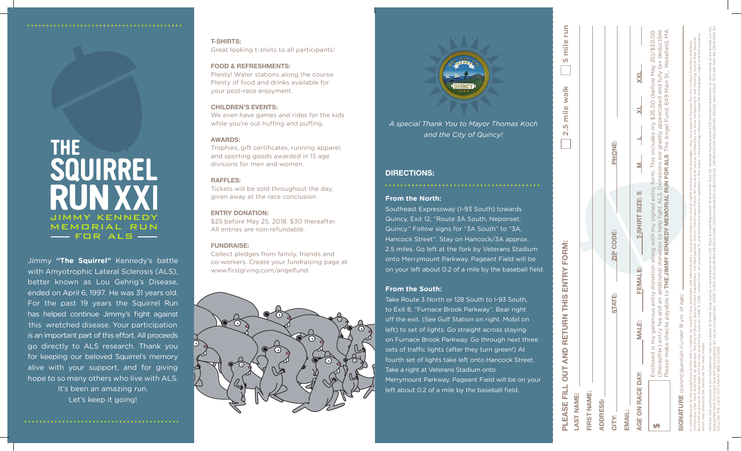### **From the North:**

Southeast Expressway (I-93 South) towards Quincy, Exit 12, "Route 3A South, Neponset, Quincy." Follow signs for "3A South" to "3A, Hancock Street". Stay on Hancock/3A approx. 2.5 miles. Go left at the fork by Veterans Stadium onto Merrymount Parkway. Pageant Field will be on your left about 0.2 of a mile by the baseball field.

# **From the South:**

Take Route 3 North or 128 South to I-93 South, to Exit 8, "Furnace Brook Parkway". Bear right off the exit. (See Gulf Station on right. Mobil on left) to set of lights. Go straight across staying on Furnace Brook Parkway. Go through next three sets of traffic lights (after they turn green!) At fourth set of lights take left onto Hancock Street. Take a right at Veterans Stadium onto Merrymount Parkway. Pageant Field will be on your left about 0.2 of a mile by the baseball field.

# **Directions:**

CALLING THE USOC HOTLINE AT 800-233-0393.

|                                                    |                                                                                                                                                            | PLEASE FILL OUT AND RETURN THIS ENTRY FORM: |                  | <b>Smilerun</b><br>2.5 mile walk                                                                                                                                                                                                                                                                                                                                                                                                                                                                                                                                    |
|----------------------------------------------------|------------------------------------------------------------------------------------------------------------------------------------------------------------|---------------------------------------------|------------------|---------------------------------------------------------------------------------------------------------------------------------------------------------------------------------------------------------------------------------------------------------------------------------------------------------------------------------------------------------------------------------------------------------------------------------------------------------------------------------------------------------------------------------------------------------------------|
| LAST NAME:                                         |                                                                                                                                                            |                                             |                  |                                                                                                                                                                                                                                                                                                                                                                                                                                                                                                                                                                     |
| FIRST NAME:                                        |                                                                                                                                                            |                                             |                  |                                                                                                                                                                                                                                                                                                                                                                                                                                                                                                                                                                     |
| <b>ADDRESS:</b>                                    |                                                                                                                                                            |                                             |                  |                                                                                                                                                                                                                                                                                                                                                                                                                                                                                                                                                                     |
| CITY:                                              |                                                                                                                                                            | <b>STATE:</b>                               | <b>ZIP CODE:</b> | PHONE:                                                                                                                                                                                                                                                                                                                                                                                                                                                                                                                                                              |
| <b>EMAIL:</b>                                      |                                                                                                                                                            |                                             |                  |                                                                                                                                                                                                                                                                                                                                                                                                                                                                                                                                                                     |
| AGE ON RACE DAY:                                   | <b>MALE:</b>                                                                                                                                               | FEMALE:                                     | T-SHIRT SIZE: S  |                                                                                                                                                                                                                                                                                                                                                                                                                                                                                                                                                                     |
|                                                    | Enclosed is my generous                                                                                                                                    |                                             |                  | (thereafter) entry fee and an additional donation to help fight ALS. Donations are greatly appreciated and fully tax deductible.<br>Please make checks payable to THE JIMMY KENNEDY MEMORIAL RUN FOR ALS The Angel Fund, 649 Main St., Wakefield, MA.<br>entry donation along with my signed entry form. This includes my \$25.00 (before May 25)/\$30.00                                                                                                                                                                                                           |
|                                                    | SIGNATURE (parent/guardian if under 18 yrs. of age)                                                                                                        |                                             |                  |                                                                                                                                                                                                                                                                                                                                                                                                                                                                                                                                                                     |
| which may chronicle the events for the news media. | In consideration of the acceptance of this entry, I hereby, for myself, heirs,<br>Run XVIII and events associated with the race and fitness walk on JUNE 9 |                                             |                  | 2018. I attest that I am physically fit and sufficiently trained to complete in this event. I also willingly release my image for photograph, video and film cameras,<br>Committee, USA Track And Field, all sponsors, the City of Quincy, Quincy Police Department, the Metropolitan District Commission Police, for any and all injuries suffered by me while competing in and traveling to and from<br>executors and administrators, waive and release any and all rights and claims for damages I may have against Squirrel Run XV, its Race Directors and Race |
|                                                    |                                                                                                                                                            |                                             |                  | disqualified from this event and will lose eligibility for future competitions. SOME COME CVSER MEDICATIONS CONTARING BANNER MEDICATIONS CORRATION REGARDING DRUGS AND DRUG TESTING MAY BE OBTAINED BY<br>Athletes who participate in this Competition may be subject to formal orug testing in accordance with USA Track & Field Regulation 10 and IAAF Rule 55. Athletes found positive for banned substances, or who refuse to be tes                                                                                                                            |

# SQUIRREL **RUN XXI** JIMMY KENNED *\* **MEMORIAL RUN I**- FOR ALS —

Jimmy **"The Squirrel"** Kennedy's battle with Amyotrophic Lateral Sclerosis (ALS), better known as Lou Gehrig's Disease, ended on April 6, 1997. He was 31 years old. For the past 19 years the Squirrel Run has helped continue Jimmy's fight against this wretched disease. Your participation is an important part of this effort. All proceeds go directly to ALS research. Thank you for keeping our beloved Squirrel's memory alive with your support, and for giving hope to so many others who live with ALS. It's been an amazing run.

Let's keep it going!

*A special Thank You to Mayor Thomas Koch and the City of Quincy!*

# **T-shirts:**

Great looking t-shirts to all participants!

## **Food & Refreshments:**

Plenty! Water stations along the course. Plenty of food and drinks available for your post-race enjoyment.

# **Children's Events:**

We even have games and rides for the kids while you're out huffing and puffing.

# **Awards:**

Trophies, gift certificates, running apparel, and sporting goods awarded in 15 age divisions for men and women.

# **Raffles:**

Tickets will be sold throughout the day, given away at the race conclusion.

# **Entry Donation:**

\$25 before May 25, 2018. \$30 thereafter. All entries are non-refundable.

## **FUN DRAISE :**

Collect pledges from family, friends and co-workers. Create your fundraising page at www.firstgiving.com/angelfund.